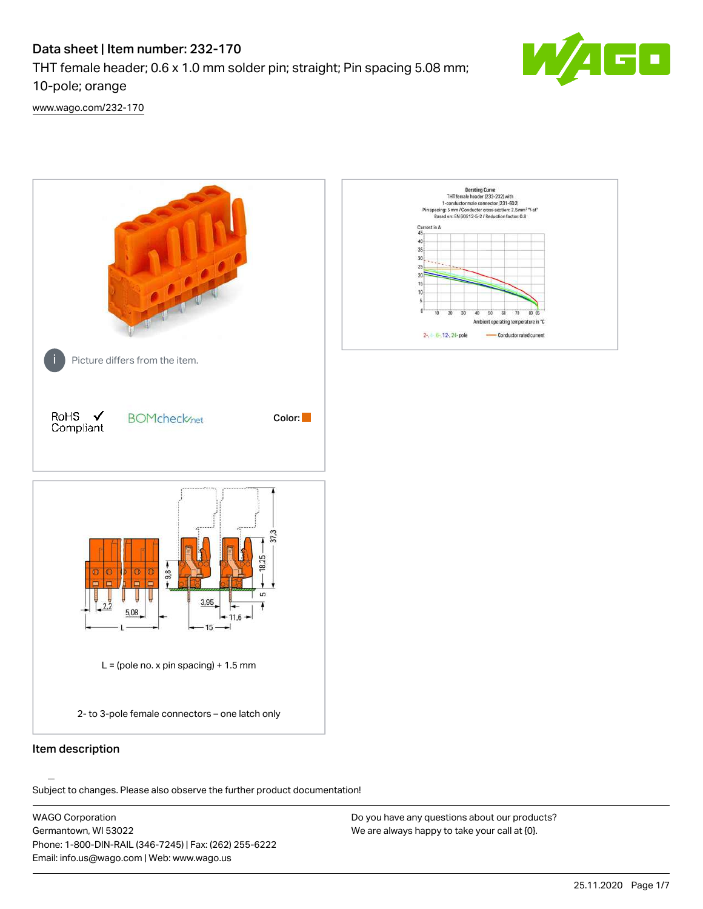# Data sheet | Item number: 232-170

THT female header; 0.6 x 1.0 mm solder pin; straight; Pin spacing 5.08 mm;

10-pole; orange

[www.wago.com/232-170](http://www.wago.com/232-170)



.<br>Subject to changes. Please also observe the further product documentation!

WAGO Corporation Germantown, WI 53022 Phone: 1-800-DIN-RAIL (346-7245) | Fax: (262) 255-6222 Email: info.us@wago.com | Web: www.wago.us

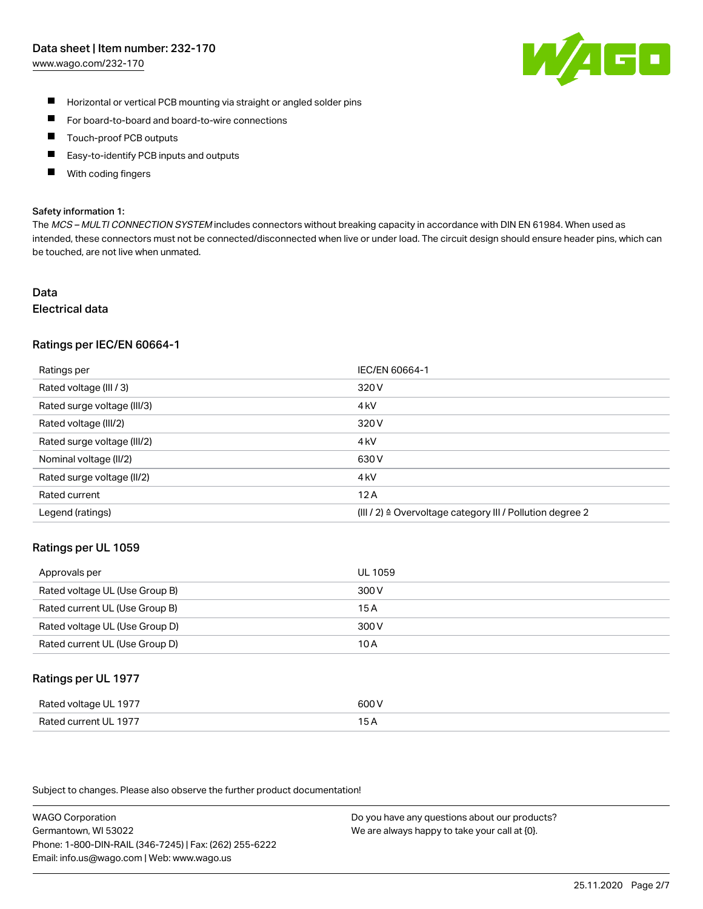#### Data sheet | Item number: 232-170

[www.wago.com/232-170](http://www.wago.com/232-170)



- $\blacksquare$ Horizontal or vertical PCB mounting via straight or angled solder pins
- $\blacksquare$ For board-to-board and board-to-wire connections
- Touch-proof PCB outputs  $\blacksquare$
- П Easy-to-identify PCB inputs and outputs
- П With coding fingers

#### Safety information 1:

The MCS - MULTI CONNECTION SYSTEM includes connectors without breaking capacity in accordance with DIN EN 61984. When used as intended, these connectors must not be connected/disconnected when live or under load. The circuit design should ensure header pins, which can be touched, are not live when unmated.

# Data

# Electrical data

#### Ratings per IEC/EN 60664-1

| Ratings per                 | IEC/EN 60664-1                                                       |
|-----------------------------|----------------------------------------------------------------------|
| Rated voltage (III / 3)     | 320 V                                                                |
| Rated surge voltage (III/3) | 4 <sub>k</sub> V                                                     |
| Rated voltage (III/2)       | 320 V                                                                |
| Rated surge voltage (III/2) | 4 <sub>k</sub> V                                                     |
| Nominal voltage (II/2)      | 630 V                                                                |
| Rated surge voltage (II/2)  | 4 <sub>k</sub> V                                                     |
| Rated current               | 12A                                                                  |
| Legend (ratings)            | (III / 2) $\triangleq$ Overvoltage category III / Pollution degree 2 |

#### Ratings per UL 1059

| Approvals per                  | UL 1059 |
|--------------------------------|---------|
| Rated voltage UL (Use Group B) | 300 V   |
| Rated current UL (Use Group B) | 15 A    |
| Rated voltage UL (Use Group D) | 300 V   |
| Rated current UL (Use Group D) | 10 A    |

#### Ratings per UL 1977

| Rated voltage UL 1977    | coo V       |
|--------------------------|-------------|
| Current UL 1977<br>Rated | ، ت<br>____ |

Subject to changes. Please also observe the further product documentation!

WAGO Corporation Germantown, WI 53022 Phone: 1-800-DIN-RAIL (346-7245) | Fax: (262) 255-6222 Email: info.us@wago.com | Web: www.wago.us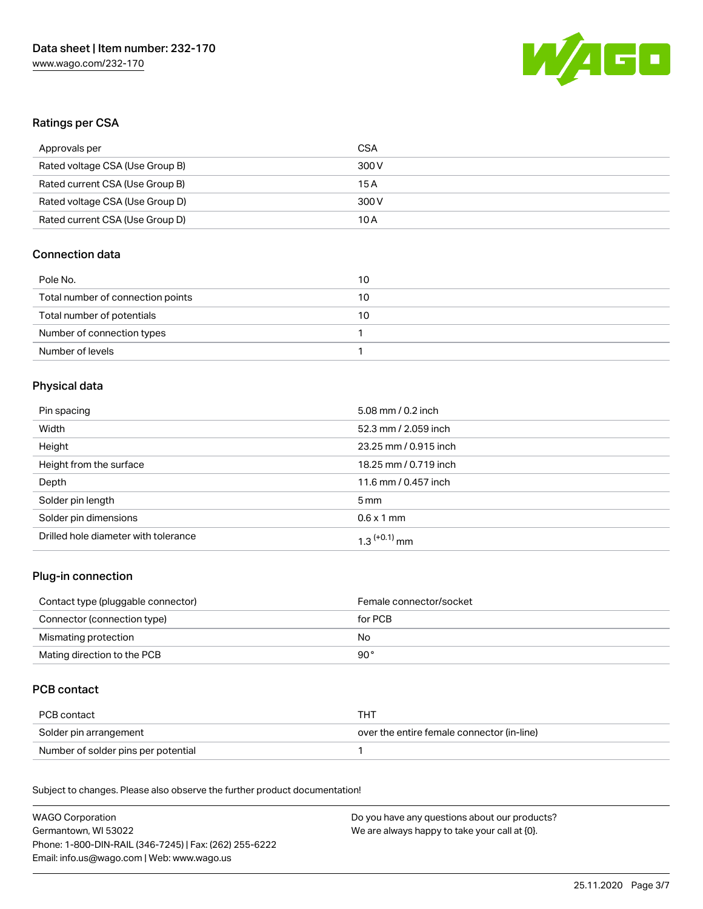

### Ratings per CSA

| Approvals per                   | CSA   |
|---------------------------------|-------|
| Rated voltage CSA (Use Group B) | 300 V |
| Rated current CSA (Use Group B) | 15 A  |
| Rated voltage CSA (Use Group D) | 300 V |
| Rated current CSA (Use Group D) | 10 A  |

# Connection data

| Pole No.                          | 10 |
|-----------------------------------|----|
| Total number of connection points | 10 |
| Total number of potentials        | 10 |
| Number of connection types        |    |
| Number of levels                  |    |

# Physical data

| Pin spacing                          | 5.08 mm / 0.2 inch         |
|--------------------------------------|----------------------------|
| Width                                | 52.3 mm / 2.059 inch       |
| Height                               | 23.25 mm / 0.915 inch      |
| Height from the surface              | 18.25 mm / 0.719 inch      |
| Depth                                | 11.6 mm / 0.457 inch       |
| Solder pin length                    | $5 \,\mathrm{mm}$          |
| Solder pin dimensions                | $0.6 \times 1$ mm          |
| Drilled hole diameter with tolerance | $1.3$ <sup>(+0.1)</sup> mm |

#### Plug-in connection

| Contact type (pluggable connector) | Female connector/socket |
|------------------------------------|-------------------------|
| Connector (connection type)        | for PCB                 |
| Mismating protection               | No.                     |
| Mating direction to the PCB        | 90°                     |

# PCB contact

| PCB contact                         | тнт                                        |
|-------------------------------------|--------------------------------------------|
| Solder pin arrangement              | over the entire female connector (in-line) |
| Number of solder pins per potential |                                            |

Subject to changes. Please also observe the further product documentation! Material Data

| WAGO Corporation                                       | Do you have any questions about our products? |
|--------------------------------------------------------|-----------------------------------------------|
| Germantown, WI 53022                                   | We are always happy to take your call at {0}. |
| Phone: 1-800-DIN-RAIL (346-7245)   Fax: (262) 255-6222 |                                               |
| Email: info.us@wago.com   Web: www.wago.us             |                                               |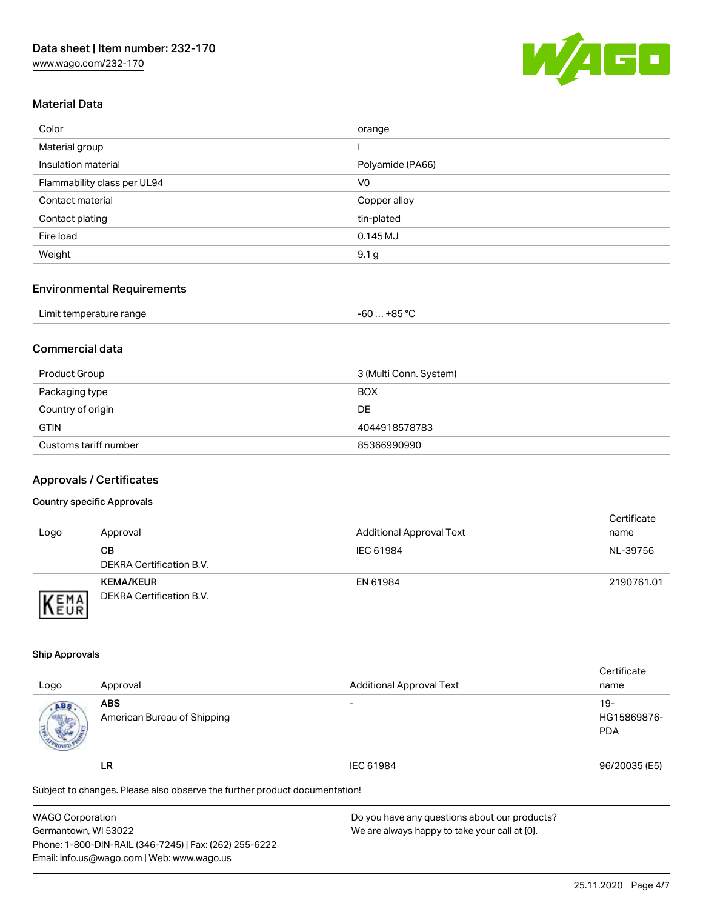[www.wago.com/232-170](http://www.wago.com/232-170)



### Material Data

| Color                       | orange           |
|-----------------------------|------------------|
| Material group              |                  |
| Insulation material         | Polyamide (PA66) |
| Flammability class per UL94 | V <sub>0</sub>   |
| Contact material            | Copper alloy     |
| Contact plating             | tin-plated       |
| Fire load                   | $0.145$ MJ       |
| Weight                      | 9.1 <sub>g</sub> |

#### Environmental Requirements

| Limit temperature range | +85 °C<br>-60 |  |
|-------------------------|---------------|--|
|-------------------------|---------------|--|

# Commercial data

| Product Group         | 3 (Multi Conn. System) |
|-----------------------|------------------------|
| Packaging type        | <b>BOX</b>             |
| Country of origin     | DE                     |
| <b>GTIN</b>           | 4044918578783          |
| Customs tariff number | 85366990990            |

## Approvals / Certificates

#### Country specific Approvals

| Logo               | Approval                                     | <b>Additional Approval Text</b> | Certificate<br>name |
|--------------------|----------------------------------------------|---------------------------------|---------------------|
|                    | CВ<br>DEKRA Certification B.V.               | IEC 61984                       | NL-39756            |
| EMA<br><b>NEUR</b> | <b>KEMA/KEUR</b><br>DEKRA Certification B.V. | EN 61984                        | 2190761.01          |

#### Ship Approvals

|                                                                            |                             |                                 | Certificate   |
|----------------------------------------------------------------------------|-----------------------------|---------------------------------|---------------|
| Logo                                                                       | Approval                    | <b>Additional Approval Text</b> | name          |
| ABS.                                                                       | <b>ABS</b>                  | $\overline{\phantom{a}}$        | $19-$         |
|                                                                            | American Bureau of Shipping |                                 | HG15869876-   |
|                                                                            |                             |                                 | <b>PDA</b>    |
|                                                                            | LR                          | IEC 61984                       | 96/20035 (E5) |
| Subject to changes. Please also observe the further product documentation! |                             |                                 |               |

| <b>WAGO Corporation</b>                                | Do you have any questions about our products? |
|--------------------------------------------------------|-----------------------------------------------|
| Germantown, WI 53022                                   | We are always happy to take your call at {0}. |
| Phone: 1-800-DIN-RAIL (346-7245)   Fax: (262) 255-6222 |                                               |
| Email: info.us@wago.com   Web: www.wago.us             |                                               |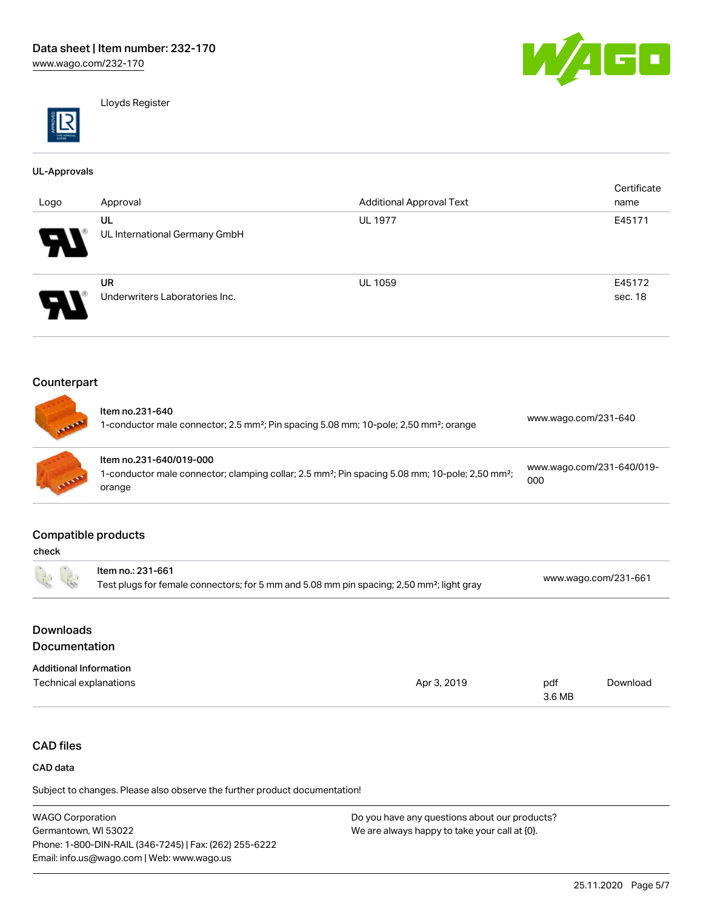

Lloyds Register

#### UL-Approvals

| Logo                       | Approval                       | <b>Additional Approval Text</b> | Certificate<br>name |
|----------------------------|--------------------------------|---------------------------------|---------------------|
|                            | UL                             | <b>UL 1977</b>                  | E45171              |
| $\boldsymbol{\mathcal{P}}$ | UL International Germany GmbH  |                                 |                     |
|                            | <b>UR</b>                      | <b>UL 1059</b>                  | E45172              |
| $\boldsymbol{\theta}$      | Underwriters Laboratories Inc. |                                 | sec. 18             |

# Counterpart

| <b>TANKING</b> | Item no.231-640<br>1-conductor male connector; 2.5 mm <sup>2</sup> ; Pin spacing 5.08 mm; 10-pole; 2,50 mm <sup>2</sup> ; orange                             | www.wago.com/231-640             |
|----------------|--------------------------------------------------------------------------------------------------------------------------------------------------------------|----------------------------------|
| ALLING         | Item no.231-640/019-000<br>1-conductor male connector; clamping collar; 2.5 mm <sup>2</sup> ; Pin spacing 5.08 mm; 10-pole; 2,50 mm <sup>2</sup> ;<br>orange | www.wago.com/231-640/019-<br>000 |

#### Compatible products

| check                                    |                                                                                                                            |             |               |                      |  |
|------------------------------------------|----------------------------------------------------------------------------------------------------------------------------|-------------|---------------|----------------------|--|
|                                          | Item no.: 231-661<br>Test plugs for female connectors; for 5 mm and 5.08 mm pin spacing; 2,50 mm <sup>2</sup> ; light gray |             |               | www.wago.com/231-661 |  |
| <b>Downloads</b><br><b>Documentation</b> |                                                                                                                            |             |               |                      |  |
| <b>Additional Information</b>            |                                                                                                                            |             |               |                      |  |
| Technical explanations                   |                                                                                                                            | Apr 3, 2019 | pdf<br>3.6 MB | Download             |  |

# CAD files

#### CAD data

Subject to changes. Please also observe the further product documentation!

WAGO Corporation Germantown, WI 53022 Phone: 1-800-DIN-RAIL (346-7245) | Fax: (262) 255-6222 Email: info.us@wago.com | Web: www.wago.us Do you have any questions about our products? We are always happy to take your call at {0}.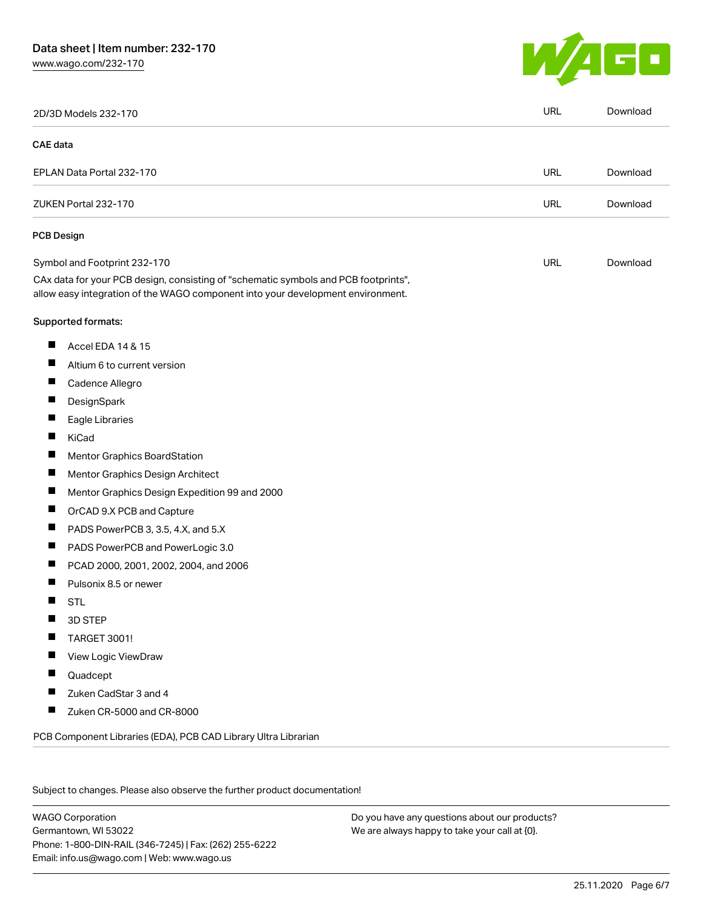# Data sheet | Item number: 232-170

[www.wago.com/232-170](http://www.wago.com/232-170)



|                 | 2D/3D Models 232-170                                                                                                                                                   | <b>URL</b> | Download |
|-----------------|------------------------------------------------------------------------------------------------------------------------------------------------------------------------|------------|----------|
| <b>CAE</b> data |                                                                                                                                                                        |            |          |
|                 | EPLAN Data Portal 232-170                                                                                                                                              | <b>URL</b> | Download |
|                 | ZUKEN Portal 232-170                                                                                                                                                   | <b>URL</b> | Download |
|                 | <b>PCB Design</b>                                                                                                                                                      |            |          |
|                 | Symbol and Footprint 232-170                                                                                                                                           | URL        | Download |
|                 | CAx data for your PCB design, consisting of "schematic symbols and PCB footprints",<br>allow easy integration of the WAGO component into your development environment. |            |          |
|                 | Supported formats:                                                                                                                                                     |            |          |
| Ш               | Accel EDA 14 & 15                                                                                                                                                      |            |          |
| ш               | Altium 6 to current version                                                                                                                                            |            |          |
| $\blacksquare$  | Cadence Allegro                                                                                                                                                        |            |          |
| ۰               | DesignSpark                                                                                                                                                            |            |          |
| ш               | Eagle Libraries                                                                                                                                                        |            |          |
| Ш               | KiCad                                                                                                                                                                  |            |          |
|                 | Mentor Graphics BoardStation                                                                                                                                           |            |          |
| ш               | Mentor Graphics Design Architect                                                                                                                                       |            |          |
| ш               | Mentor Graphics Design Expedition 99 and 2000                                                                                                                          |            |          |
|                 | OrCAD 9.X PCB and Capture                                                                                                                                              |            |          |
| Ш               | PADS PowerPCB 3, 3.5, 4.X, and 5.X                                                                                                                                     |            |          |
| ш               | PADS PowerPCB and PowerLogic 3.0                                                                                                                                       |            |          |
| H               | PCAD 2000, 2001, 2002, 2004, and 2006                                                                                                                                  |            |          |
| $\blacksquare$  | Pulsonix 8.5 or newer                                                                                                                                                  |            |          |
| П               | <b>STL</b>                                                                                                                                                             |            |          |
|                 | 3D STEP                                                                                                                                                                |            |          |
|                 | <b>TARGET 3001!</b>                                                                                                                                                    |            |          |
| I.              | View Logic ViewDraw                                                                                                                                                    |            |          |
| П               | Quadcept                                                                                                                                                               |            |          |
| H               | Zuken CadStar 3 and 4                                                                                                                                                  |            |          |
| П               | Zuken CR-5000 and CR-8000                                                                                                                                              |            |          |

Subject to changes. Please also observe the further product documentation!

WAGO Corporation Germantown, WI 53022 Phone: 1-800-DIN-RAIL (346-7245) | Fax: (262) 255-6222 Email: info.us@wago.com | Web: www.wago.us